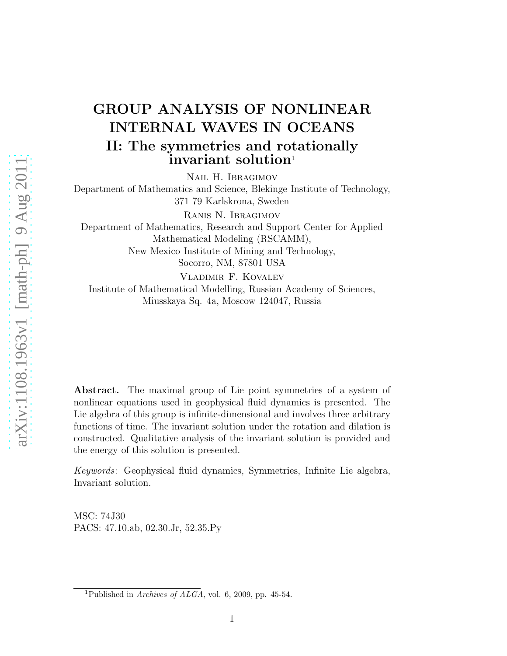## GROUP ANALYSIS OF NONLINEAR INTERNAL WAVES IN OCEANS II: The symmetries and rotationally  $\mathbf i$ nvariant solution<sup>1</sup>

Nail H. Ibragimov

Department of Mathematics and Science, Blekinge Institute of Technology, 371 79 Karlskrona, Sweden

Ranis N. Ibragimov

Department of Mathematics, Research and Support Center for Applied Mathematical Modeling (RSCAMM), New Mexico Institute of Mining and Technology, Socorro, NM, 87801 USA

Vladimir F. Kovalev Institute of Mathematical Modelling, Russian Academy of Sciences, Miusskaya Sq. 4a, Moscow 124047, Russia

Abstract. The maximal group of Lie point symmetries of a system of nonlinear equations used in geophysical fluid dynamics is presented. The Lie algebra of this group is infinite-dimensional and involves three arbitrary functions of time. The invariant solution under the rotation and dilation is constructed. Qualitative analysis of the invariant solution is provided and the energy of this solution is presented.

*Keywords*: Geophysical fluid dynamics, Symmetries, Infinite Lie algebra, Invariant solution.

MSC: 74J30 PACS: 47.10.ab, 02.30.Jr, 52.35.Py

<sup>&</sup>lt;sup>1</sup>Published in *Archives of ALGA*, vol. 6, 2009, pp. 45-54.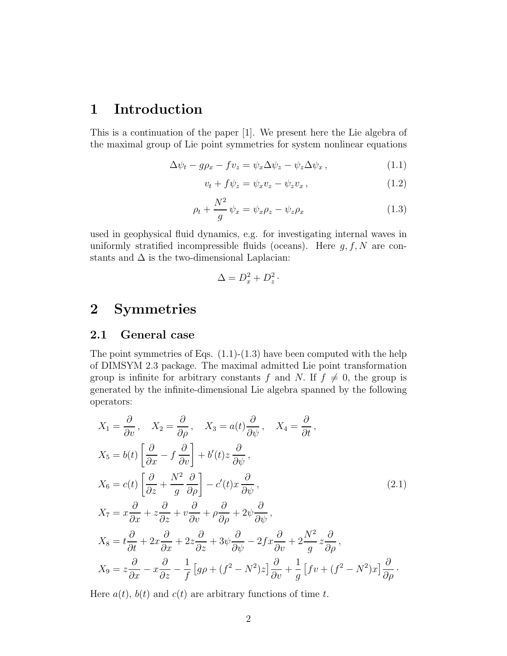### 1 Introduction

This is a continuation of the paper [1]. We present here the Lie algebra of the maximal group of Lie point symmetries for system nonlinear equations

$$
\Delta \psi_t - g\rho_x - f v_z = \psi_x \Delta \psi_z - \psi_z \Delta \psi_x, \qquad (1.1)
$$

$$
v_t + f\psi_z = \psi_x v_z - \psi_z v_x, \qquad (1.2)
$$

$$
\rho_t + \frac{N^2}{g} \psi_x = \psi_x \rho_z - \psi_z \rho_x \tag{1.3}
$$

used in geophysical fluid dynamics, e.g. for investigating internal waves in uniformly stratified incompressible fluids (oceans). Here  $g, f, N$  are constants and  $\Delta$  is the two-dimensional Laplacian:

$$
\Delta = D_x^2 + D_z^2 \cdot
$$

### 2 Symmetries

#### 2.1 General case

The point symmetries of Eqs.  $(1.1)-(1.3)$  have been computed with the help of DIMSYM 2.3 package. The maximal admitted Lie point transformation group is infinite for arbitrary constants f and N. If  $f \neq 0$ , the group is generated by the infinite-dimensional Lie algebra spanned by the following operators:

$$
X_1 = \frac{\partial}{\partial v}, \quad X_2 = \frac{\partial}{\partial \rho}, \quad X_3 = a(t)\frac{\partial}{\partial \psi}, \quad X_4 = \frac{\partial}{\partial t},
$$
  
\n
$$
X_5 = b(t) \left[ \frac{\partial}{\partial x} - f \frac{\partial}{\partial v} \right] + b'(t)z \frac{\partial}{\partial \psi},
$$
  
\n
$$
X_6 = c(t) \left[ \frac{\partial}{\partial z} + \frac{N^2}{g} \frac{\partial}{\partial \rho} \right] - c'(t)x \frac{\partial}{\partial \psi},
$$
  
\n
$$
X_7 = x\frac{\partial}{\partial x} + z\frac{\partial}{\partial z} + v\frac{\partial}{\partial v} + \rho \frac{\partial}{\partial \rho} + 2\psi \frac{\partial}{\partial \psi},
$$
  
\n
$$
X_8 = t\frac{\partial}{\partial t} + 2x\frac{\partial}{\partial x} + 2z\frac{\partial}{\partial z} + 3\psi \frac{\partial}{\partial \psi} - 2fx\frac{\partial}{\partial v} + 2\frac{N^2}{g}z\frac{\partial}{\partial \rho},
$$
  
\n
$$
X_9 = z\frac{\partial}{\partial x} - x\frac{\partial}{\partial z} - \frac{1}{f}[g\rho + (f^2 - N^2)z] \frac{\partial}{\partial v} + \frac{1}{g}[fv + (f^2 - N^2)x] \frac{\partial}{\partial \rho}.
$$

Here  $a(t)$ ,  $b(t)$  and  $c(t)$  are arbitrary functions of time t.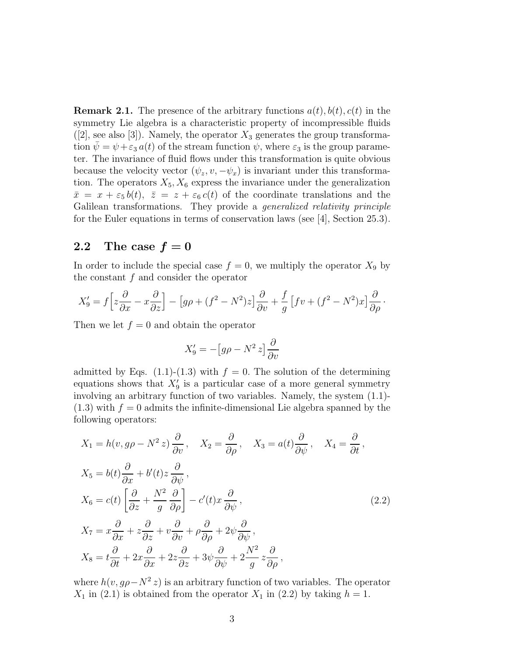**Remark 2.1.** The presence of the arbitrary functions  $a(t)$ ,  $b(t)$ ,  $c(t)$  in the symmetry Lie algebra is a characteristic property of incompressible fluids  $([2], \text{see also } [3])$ . Namely, the operator  $X_3$  generates the group transformation  $\psi = \psi + \varepsilon_3 a(t)$  of the stream function  $\psi$ , where  $\varepsilon_3$  is the group parameter. The invariance of fluid flows under this transformation is quite obvious because the velocity vector  $(\psi_z, v, -\psi_x)$  is invariant under this transformation. The operators  $X_5, X_6$  express the invariance under the generalization  $\bar{x} = x + \varepsilon_5 b(t), \ \bar{z} = z + \varepsilon_6 c(t)$  of the coordinate translations and the Galilean transformations. They provide a *generalized relativity principle* for the Euler equations in terms of conservation laws (see [4], Section 25.3).

#### 2.2 The case  $f = 0$

In order to include the special case  $f = 0$ , we multiply the operator  $X_9$  by the constant  $f$  and consider the operator

$$
X'_9 = f\left[z\frac{\partial}{\partial x} - x\frac{\partial}{\partial z}\right] - \left[g\rho + (f^2 - N^2)z\right]\frac{\partial}{\partial v} + \frac{f}{g}\left[fv + (f^2 - N^2)x\right]\frac{\partial}{\partial \rho}.
$$

Then we let  $f = 0$  and obtain the operator

$$
X_9' = -[g\rho - N^2 z] \frac{\partial}{\partial v}
$$

admitted by Eqs.  $(1.1)-(1.3)$  with  $f = 0$ . The solution of the determining equations shows that  $X'_9$  is a particular case of a more general symmetry involving an arbitrary function of two variables. Namely, the system (1.1)-  $(1.3)$  with  $f = 0$  admits the infinite-dimensional Lie algebra spanned by the following operators:

$$
X_1 = h(v, g\rho - N^2 z) \frac{\partial}{\partial v}, \quad X_2 = \frac{\partial}{\partial \rho}, \quad X_3 = a(t) \frac{\partial}{\partial \psi}, \quad X_4 = \frac{\partial}{\partial t},
$$
  
\n
$$
X_5 = b(t) \frac{\partial}{\partial x} + b'(t) z \frac{\partial}{\partial \psi},
$$
  
\n
$$
X_6 = c(t) \left[ \frac{\partial}{\partial z} + \frac{N^2}{g} \frac{\partial}{\partial \rho} \right] - c'(t) x \frac{\partial}{\partial \psi},
$$
  
\n
$$
X_7 = x \frac{\partial}{\partial x} + z \frac{\partial}{\partial z} + v \frac{\partial}{\partial v} + \rho \frac{\partial}{\partial \rho} + 2 \psi \frac{\partial}{\partial \psi},
$$
  
\n
$$
X_8 = t \frac{\partial}{\partial t} + 2x \frac{\partial}{\partial x} + 2z \frac{\partial}{\partial z} + 3\psi \frac{\partial}{\partial \psi} + 2\frac{N^2}{g} z \frac{\partial}{\partial \rho},
$$
  
\n(2.2)

where  $h(v, g\rho - N^2 z)$  is an arbitrary function of two variables. The operator  $X_1$  in (2.1) is obtained from the operator  $X_1$  in (2.2) by taking  $h = 1$ .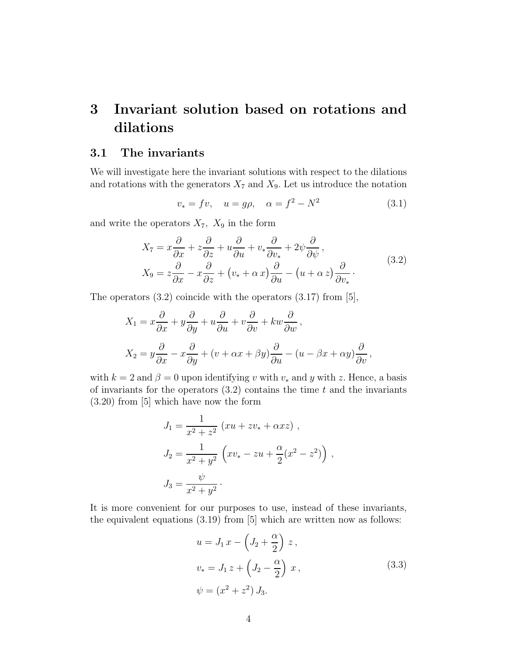### 3 Invariant solution based on rotations and dilations

#### 3.1 The invariants

We will investigate here the invariant solutions with respect to the dilations and rotations with the generators  $X_7$  and  $X_9$ . Let us introduce the notation

$$
v_* = fv, \quad u = g\rho, \quad \alpha = f^2 - N^2
$$
 (3.1)

and write the operators  $X_7$ ,  $X_9$  in the form

$$
X_7 = x\frac{\partial}{\partial x} + z\frac{\partial}{\partial z} + u\frac{\partial}{\partial u} + v_*\frac{\partial}{\partial v_*} + 2\psi\frac{\partial}{\partial \psi},
$$
  
\n
$$
X_9 = z\frac{\partial}{\partial x} - x\frac{\partial}{\partial z} + (v_* + \alpha x)\frac{\partial}{\partial u} - (u + \alpha z)\frac{\partial}{\partial v_*}.
$$
\n(3.2)

The operators  $(3.2)$  coincide with the operators  $(3.17)$  from [5],

$$
X_1 = x\frac{\partial}{\partial x} + y\frac{\partial}{\partial y} + u\frac{\partial}{\partial u} + v\frac{\partial}{\partial v} + kw\frac{\partial}{\partial w},
$$
  

$$
X_2 = y\frac{\partial}{\partial x} - x\frac{\partial}{\partial y} + (v + \alpha x + \beta y)\frac{\partial}{\partial u} - (u - \beta x + \alpha y)\frac{\partial}{\partial v},
$$

with  $k = 2$  and  $\beta = 0$  upon identifying v with  $v_*$  and y with z. Hence, a basis of invariants for the operators  $(3.2)$  contains the time t and the invariants (3.20) from [5] which have now the form

$$
J_1 = \frac{1}{x^2 + z^2} (xu + zv_* + \alpha xz) ,
$$
  
\n
$$
J_2 = \frac{1}{x^2 + y^2} (xv_* - zu + \frac{\alpha}{2} (x^2 - z^2) ),
$$
  
\n
$$
J_3 = \frac{\psi}{x^2 + y^2} .
$$

It is more convenient for our purposes to use, instead of these invariants, the equivalent equations (3.19) from [5] which are written now as follows:

$$
u = J_1 x - \left(J_2 + \frac{\alpha}{2}\right) z,
$$
  
\n
$$
v_* = J_1 z + \left(J_2 - \frac{\alpha}{2}\right) x,
$$
  
\n
$$
\psi = (x^2 + z^2) J_3.
$$
\n(3.3)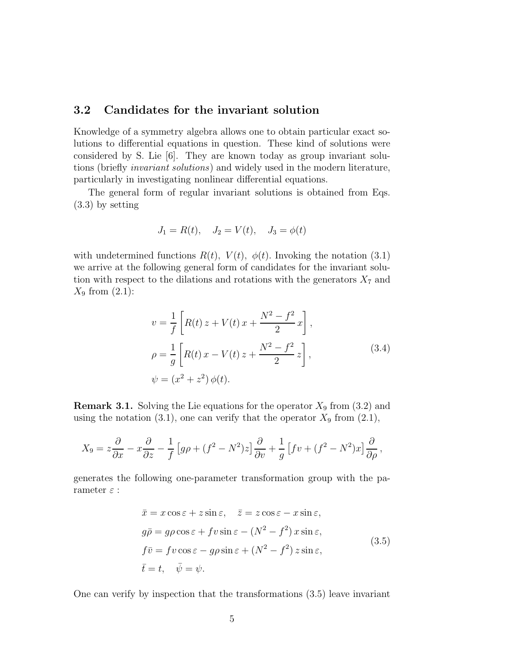#### 3.2 Candidates for the invariant solution

Knowledge of a symmetry algebra allows one to obtain particular exact solutions to differential equations in question. These kind of solutions were considered by S. Lie [6]. They are known today as group invariant solutions (briefly *invariant solutions*) and widely used in the modern literature, particularly in investigating nonlinear differential equations.

The general form of regular invariant solutions is obtained from Eqs. (3.3) by setting

$$
J_1 = R(t), \quad J_2 = V(t), \quad J_3 = \phi(t)
$$

with undetermined functions  $R(t)$ ,  $V(t)$ ,  $\phi(t)$ . Invoking the notation (3.1) we arrive at the following general form of candidates for the invariant solution with respect to the dilations and rotations with the generators  $X_7$  and  $X_9$  from  $(2.1)$ :

$$
v = \frac{1}{f} \left[ R(t) z + V(t) x + \frac{N^2 - f^2}{2} x \right],
$$
  
\n
$$
\rho = \frac{1}{g} \left[ R(t) x - V(t) z + \frac{N^2 - f^2}{2} z \right],
$$
  
\n
$$
\psi = (x^2 + z^2) \phi(t).
$$
\n(3.4)

**Remark 3.1.** Solving the Lie equations for the operator  $X_9$  from (3.2) and using the notation (3.1), one can verify that the operator  $X_9$  from (2.1),

$$
X_9 = z\frac{\partial}{\partial x} - x\frac{\partial}{\partial z} - \frac{1}{f}\left[g\rho + (f^2 - N^2)z\right]\frac{\partial}{\partial v} + \frac{1}{g}\left[fv + (f^2 - N^2)x\right]\frac{\partial}{\partial \rho},
$$

generates the following one-parameter transformation group with the parameter  $\varepsilon$  :

$$
\begin{aligned}\n\bar{x} &= x \cos \varepsilon + z \sin \varepsilon, & \quad \bar{z} &= z \cos \varepsilon - x \sin \varepsilon, \\
g\bar{\rho} &= g\rho \cos \varepsilon + f v \sin \varepsilon - (N^2 - f^2) x \sin \varepsilon, \\
f\bar{v} &= f v \cos \varepsilon - g\rho \sin \varepsilon + (N^2 - f^2) z \sin \varepsilon, \\
\bar{t} &= t, & \quad \bar{\psi} &= \psi.\n\end{aligned} \tag{3.5}
$$

One can verify by inspection that the transformations (3.5) leave invariant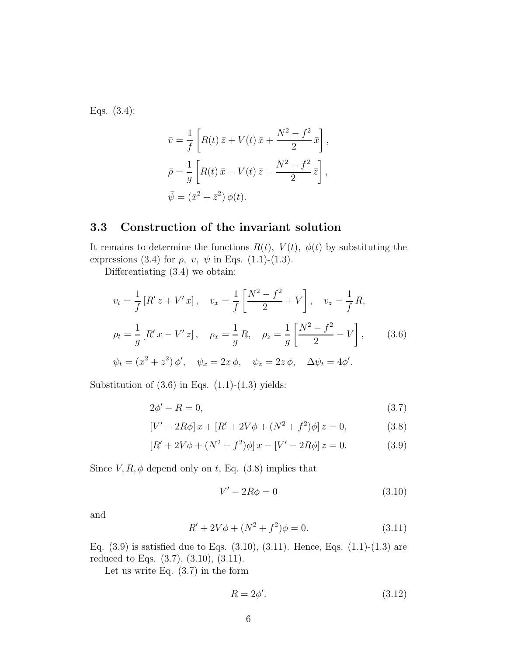Eqs. (3.4):

$$
\bar{v} = \frac{1}{f} \left[ R(t) \bar{z} + V(t) \bar{x} + \frac{N^2 - f^2}{2} \bar{x} \right],
$$
  
\n
$$
\bar{\rho} = \frac{1}{g} \left[ R(t) \bar{x} - V(t) \bar{z} + \frac{N^2 - f^2}{2} \bar{z} \right],
$$
  
\n
$$
\bar{\psi} = (\bar{x}^2 + \bar{z}^2) \phi(t).
$$

#### 3.3 Construction of the invariant solution

It remains to determine the functions  $R(t)$ ,  $V(t)$ ,  $\phi(t)$  by substituting the expressions (3.4) for  $\rho$ ,  $v$ ,  $\psi$  in Eqs. (1.1)-(1.3).

Differentiating (3.4) we obtain:

$$
v_t = \frac{1}{f} [R' z + V' x], \quad v_x = \frac{1}{f} \left[ \frac{N^2 - f^2}{2} + V \right], \quad v_z = \frac{1}{f} R,
$$
  
\n
$$
\rho_t = \frac{1}{g} [R' x - V' z], \quad \rho_x = \frac{1}{g} R, \quad \rho_z = \frac{1}{g} \left[ \frac{N^2 - f^2}{2} - V \right], \quad (3.6)
$$
  
\n
$$
\psi_t = (x^2 + z^2) \phi', \quad \psi_x = 2x \phi, \quad \psi_z = 2z \phi, \quad \Delta \psi_t = 4\phi'.
$$

Substitution of  $(3.6)$  in Eqs.  $(1.1)-(1.3)$  yields:

$$
2\phi' - R = 0,\tag{3.7}
$$

$$
[V' - 2R\phi]x + [R' + 2V\phi + (N^2 + f^2)\phi]z = 0,
$$
\n(3.8)

$$
[R' + 2V\phi + (N^2 + f^2)\phi]x - [V' - 2R\phi]z = 0.
$$
 (3.9)

Since  $V, R, \phi$  depend only on t, Eq. (3.8) implies that

$$
V' - 2R\phi = 0\tag{3.10}
$$

and

$$
R' + 2V\phi + (N^2 + f^2)\phi = 0.
$$
\n(3.11)

Eq.  $(3.9)$  is satisfied due to Eqs.  $(3.10)$ ,  $(3.11)$ . Hence, Eqs.  $(1.1)-(1.3)$  are reduced to Eqs. (3.7), (3.10), (3.11).

Let us write Eq.  $(3.7)$  in the form

$$
R = 2\phi'.\tag{3.12}
$$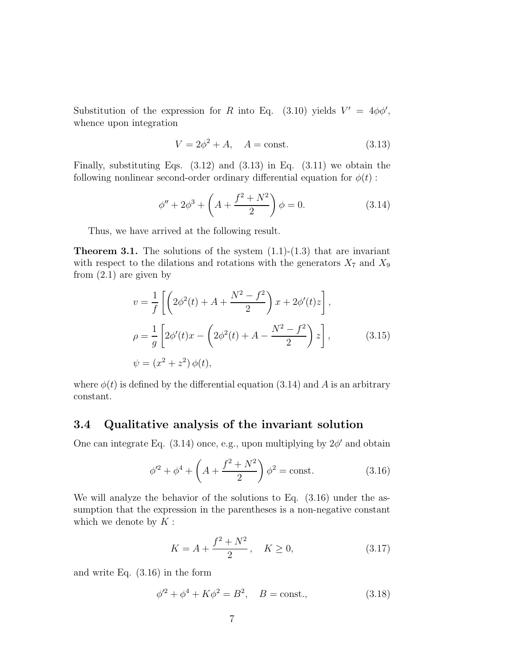Substitution of the expression for R into Eq. (3.10) yields  $V' = 4\phi\phi'$ , whence upon integration

$$
V = 2\phi^2 + A, \quad A = \text{const.}
$$
 (3.13)

Finally, substituting Eqs.  $(3.12)$  and  $(3.13)$  in Eq.  $(3.11)$  we obtain the following nonlinear second-order ordinary differential equation for  $\phi(t)$ :

$$
\phi'' + 2\phi^3 + \left(A + \frac{f^2 + N^2}{2}\right)\phi = 0.
$$
 (3.14)

Thus, we have arrived at the following result.

**Theorem 3.1.** The solutions of the system  $(1.1)-(1.3)$  that are invariant with respect to the dilations and rotations with the generators  $X_7$  and  $X_9$ from (2.1) are given by

$$
v = \frac{1}{f} \left[ \left( 2\phi^2(t) + A + \frac{N^2 - f^2}{2} \right) x + 2\phi'(t)z \right],
$$
  
\n
$$
\rho = \frac{1}{g} \left[ 2\phi'(t)x - \left( 2\phi^2(t) + A - \frac{N^2 - f^2}{2} \right) z \right],
$$
  
\n
$$
\psi = (x^2 + z^2) \phi(t),
$$
\n(3.15)

where  $\phi(t)$  is defined by the differential equation (3.14) and A is an arbitrary constant.

#### 3.4 Qualitative analysis of the invariant solution

One can integrate Eq.  $(3.14)$  once, e.g., upon multiplying by  $2\phi'$  and obtain

$$
\phi'^2 + \phi^4 + \left(A + \frac{f^2 + N^2}{2}\right)\phi^2 = \text{const.}\tag{3.16}
$$

We will analyze the behavior of the solutions to Eq. (3.16) under the assumption that the expression in the parentheses is a non-negative constant which we denote by  $K$  :

$$
K = A + \frac{f^2 + N^2}{2}, \quad K \ge 0,
$$
\n(3.17)

and write Eq. (3.16) in the form

$$
\phi'^2 + \phi^4 + K\phi^2 = B^2, \quad B = \text{const.},
$$
\n(3.18)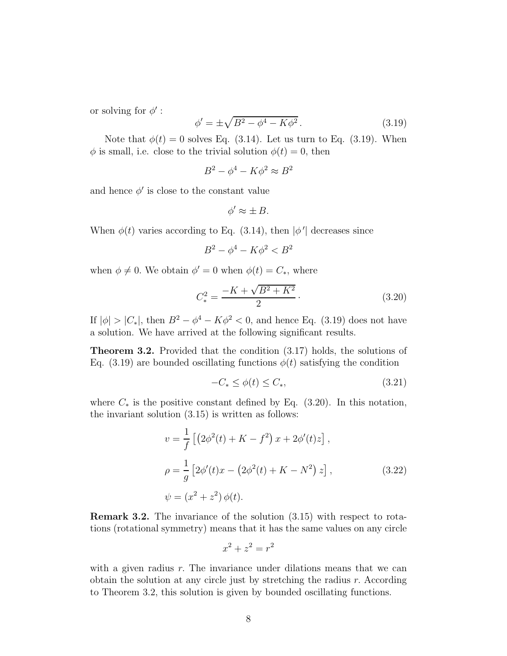or solving for  $\phi'$ :

$$
\phi' = \pm \sqrt{B^2 - \phi^4 - K\phi^2}.
$$
\n(3.19)

Note that  $\phi(t) = 0$  solves Eq. (3.14). Let us turn to Eq. (3.19). When  $\phi$  is small, i.e. close to the trivial solution  $\phi(t) = 0$ , then

$$
B^2 - \phi^4 - K\phi^2 \approx B^2
$$

and hence  $\phi'$  is close to the constant value

$$
\phi' \approx \pm B.
$$

When  $\phi(t)$  varies according to Eq. (3.14), then  $|\phi'|$  decreases since

$$
B^2 - \phi^4 - K\phi^2 < B^2
$$

when  $\phi \neq 0$ . We obtain  $\phi' = 0$  when  $\phi(t) = C_*$ , where

$$
C_*^2 = \frac{-K + \sqrt{B^2 + K^2}}{2}.
$$
\n(3.20)

If  $|\phi| > |C_*|$ , then  $B^2 - \phi^4 - K\phi^2 < 0$ , and hence Eq. (3.19) does not have a solution. We have arrived at the following significant results.

Theorem 3.2. Provided that the condition (3.17) holds, the solutions of Eq. (3.19) are bounded oscillating functions  $\phi(t)$  satisfying the condition

$$
-C_* \le \phi(t) \le C_*,\tag{3.21}
$$

where  $C_*$  is the positive constant defined by Eq. (3.20). In this notation, the invariant solution (3.15) is written as follows:

$$
v = \frac{1}{f} \left[ \left( 2\phi^2(t) + K - f^2 \right) x + 2\phi'(t)z \right],
$$
  
\n
$$
\rho = \frac{1}{g} \left[ 2\phi'(t)x - \left( 2\phi^2(t) + K - N^2 \right) z \right],
$$
  
\n
$$
\psi = (x^2 + z^2) \phi(t).
$$
\n(3.22)

Remark 3.2. The invariance of the solution (3.15) with respect to rotations (rotational symmetry) means that it has the same values on any circle

$$
x^2 + z^2 = r^2
$$

with a given radius  $r$ . The invariance under dilations means that we can obtain the solution at any circle just by stretching the radius r. According to Theorem 3.2, this solution is given by bounded oscillating functions.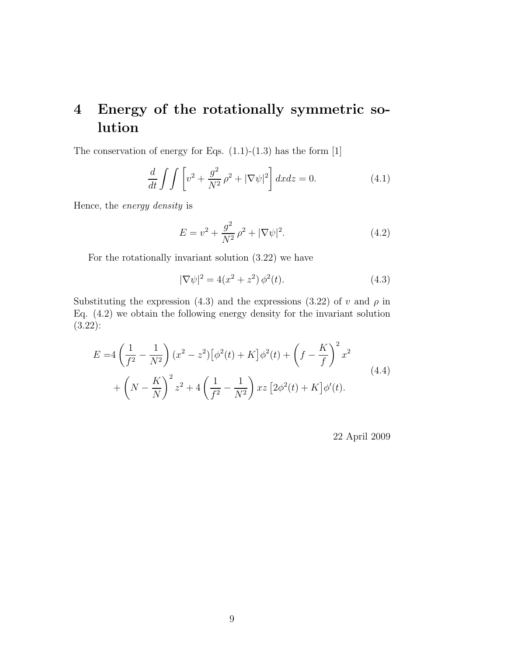## 4 Energy of the rotationally symmetric solution

The conservation of energy for Eqs.  $(1.1)-(1.3)$  has the form  $[1]$ 

$$
\frac{d}{dt} \int \int \left[ v^2 + \frac{g^2}{N^2} \rho^2 + |\nabla \psi|^2 \right] dx dz = 0.
$$
 (4.1)

Hence, the *energy density* is

$$
E = v^2 + \frac{g^2}{N^2} \rho^2 + |\nabla \psi|^2.
$$
 (4.2)

For the rotationally invariant solution (3.22) we have

$$
|\nabla \psi|^2 = 4(x^2 + z^2) \phi^2(t).
$$
 (4.3)

Substituting the expression (4.3) and the expressions (3.22) of v and  $\rho$  in Eq. (4.2) we obtain the following energy density for the invariant solution (3.22):

$$
E = 4\left(\frac{1}{f^2} - \frac{1}{N^2}\right)(x^2 - z^2)\left[\phi^2(t) + K\right]\phi^2(t) + \left(f - \frac{K}{f}\right)^2 x^2 + \left(N - \frac{K}{N}\right)^2 z^2 + 4\left(\frac{1}{f^2} - \frac{1}{N^2}\right)xz\left[2\phi^2(t) + K\right]\phi'(t).
$$
\n(4.4)

22 April 2009